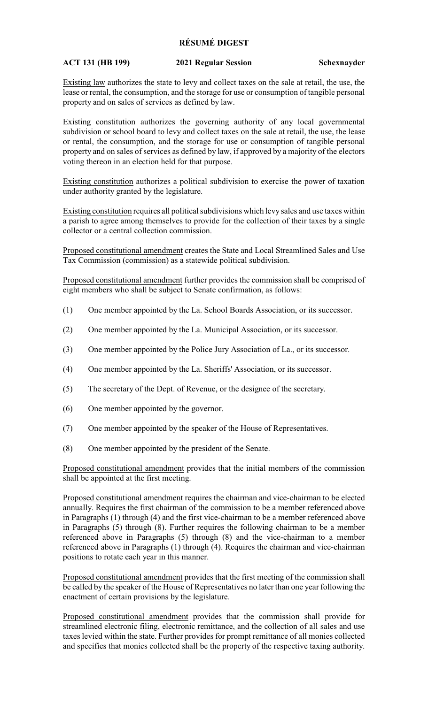## **RÉSUMÉ DIGEST**

## **ACT 131 (HB 199) 2021 Regular Session Schexnayder**

Existing law authorizes the state to levy and collect taxes on the sale at retail, the use, the lease or rental, the consumption, and the storage for use or consumption of tangible personal property and on sales of services as defined by law.

Existing constitution authorizes the governing authority of any local governmental subdivision or school board to levy and collect taxes on the sale at retail, the use, the lease or rental, the consumption, and the storage for use or consumption of tangible personal property and on sales of services as defined by law, if approved by a majority of the electors voting thereon in an election held for that purpose.

Existing constitution authorizes a political subdivision to exercise the power of taxation under authority granted by the legislature.

Existing constitution requires all political subdivisions which levy sales and use taxes within a parish to agree among themselves to provide for the collection of their taxes by a single collector or a central collection commission.

Proposed constitutional amendment creates the State and Local Streamlined Sales and Use Tax Commission (commission) as a statewide political subdivision.

Proposed constitutional amendment further provides the commission shall be comprised of eight members who shall be subject to Senate confirmation, as follows:

- (1) One member appointed by the La. School Boards Association, or its successor.
- (2) One member appointed by the La. Municipal Association, or its successor.
- (3) One member appointed by the Police Jury Association of La., or its successor.
- (4) One member appointed by the La. Sheriffs' Association, or its successor.
- (5) The secretary of the Dept. of Revenue, or the designee of the secretary.
- (6) One member appointed by the governor.
- (7) One member appointed by the speaker of the House of Representatives.
- (8) One member appointed by the president of the Senate.

Proposed constitutional amendment provides that the initial members of the commission shall be appointed at the first meeting.

Proposed constitutional amendment requires the chairman and vice-chairman to be elected annually. Requires the first chairman of the commission to be a member referenced above in Paragraphs (1) through (4) and the first vice-chairman to be a member referenced above in Paragraphs (5) through (8). Further requires the following chairman to be a member referenced above in Paragraphs (5) through (8) and the vice-chairman to a member referenced above in Paragraphs (1) through (4). Requires the chairman and vice-chairman positions to rotate each year in this manner.

Proposed constitutional amendment provides that the first meeting of the commission shall be called by the speaker of the House of Representatives no later than one year following the enactment of certain provisions by the legislature.

Proposed constitutional amendment provides that the commission shall provide for streamlined electronic filing, electronic remittance, and the collection of all sales and use taxes levied within the state. Further provides for prompt remittance of all monies collected and specifies that monies collected shall be the property of the respective taxing authority.